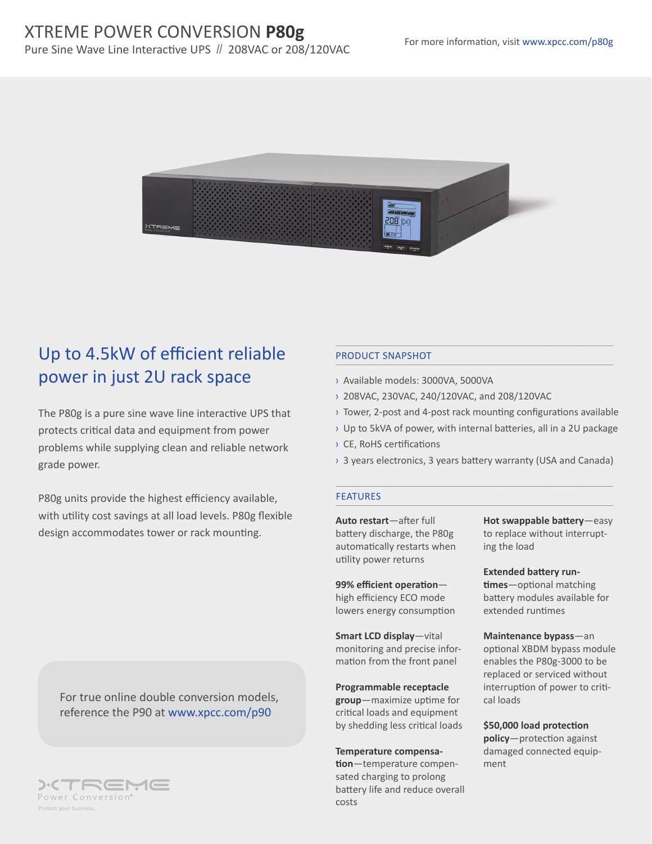# XTREME POWER CONVERSION **P80g**

Pure Sine Wave Line Interactive UPS // 208VAC or 208/120VAC



# Up to 4.5kW of efficient reliable power in just 2U rack space

The P80g is a pure sine wave line interactive UPS that protects critical data and equipment from power problems while supplying clean and reliable network grade power.

P80g units provide the highest efficiency available, with utility cost savings at all load levels. P80g flexible design accommodates tower or rack mounting.

For true online double conversion models, reference the P90 at www.xpcc.com/p90



### PRODUCT SNAPSHOT

- › Available models: 3000VA, 5000VA
- › 208VAC, 230VAC, 240/120VAC, and 208/120VAC
- › Tower, 2-post and 4-post rack mounting configurations available
- › Up to 5kVA of power, with internal batteries, all in a 2U package
- › CE, RoHS certifications
- › 3 years electronics, 3 years battery warranty (USA and Canada)

#### **FEATURES**

**Auto restart**—after full battery discharge, the P80g automatically restarts when utility power returns

**99% efficient operation** high efficiency ECO mode lowers energy consumption

**Smart LCD display**—vital monitoring and precise information from the front panel

**Programmable receptacle group**—maximize uptime for critical loads and equipment by shedding less critical loads

**Temperature compensation**—temperature compensated charging to prolong battery life and reduce overall costs

**Hot swappable battery**—easy to replace without interrupting the load

**Extended battery runtimes**—optional matching battery modules available for extended runtimes

**Maintenance bypass**—an optional XBDM bypass module enables the P80g-3000 to be replaced or serviced without interruption of power to critical loads

**\$50,000 load protection policy**—protection against damaged connected equipment